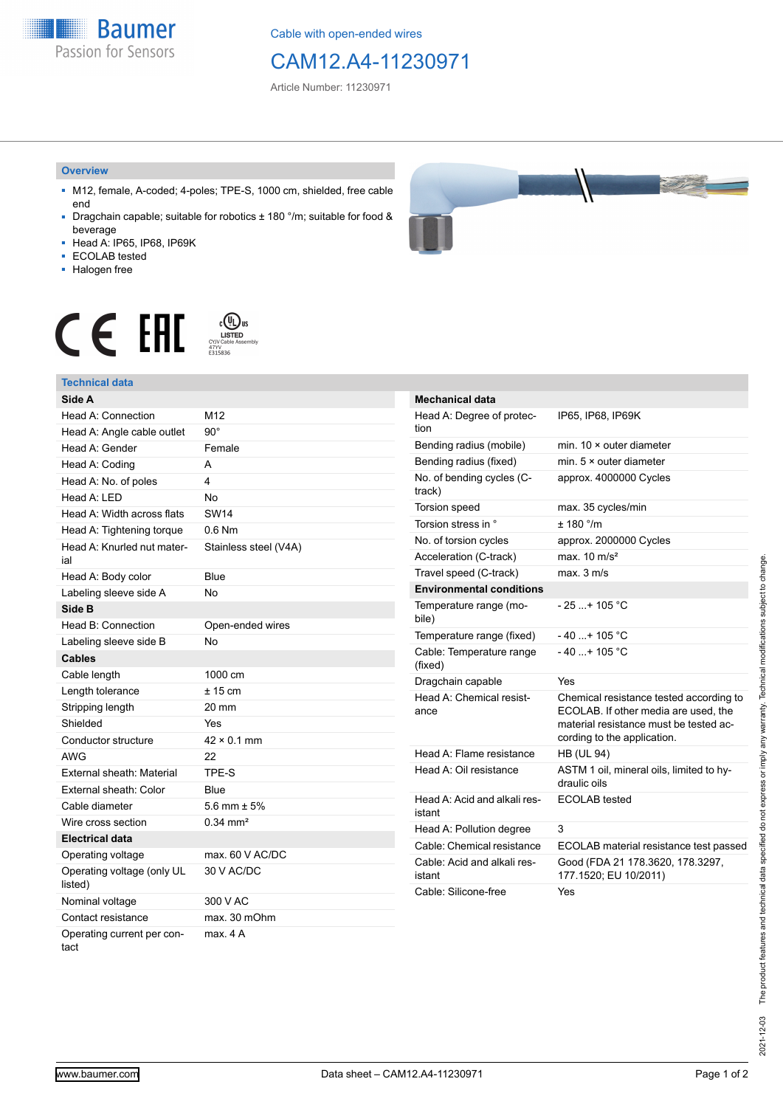**Baumer** Passion for Sensors

Cable with open-ended wires

# CAM12.A4-11230971

Article Number: 11230971

#### **Overview**

- M12, female, A-coded; 4-poles; TPE-S, 1000 cm, shielded, free cable end
- Dragchain capable; suitable for robotics ± 180 °/m; suitable for food & beverage
- Head A: IP65, IP68, IP69K
- ECOLAB tested
- Halogen free



 $c$  (U<sub>L</sub>) us<br>CYJV Cable Assem<br> $_{\substack{\text{CYJV}\ \text{E315836}}}$ CE EAL

## **Technical data**

| Side A                                |                       |
|---------------------------------------|-----------------------|
| Head A: Connection                    | M12                   |
| Head A: Angle cable outlet            | $90^{\circ}$          |
| Head A: Gender                        | Female                |
| Head A: Coding                        | А                     |
| Head A: No. of poles                  | 4                     |
| Head A: LED                           | <b>No</b>             |
| Head A: Width across flats            | <b>SW14</b>           |
| Head A: Tightening torque             | $0.6$ Nm              |
| Head A: Knurled nut mater-<br>ial     | Stainless steel (V4A) |
| Head A: Body color                    | Blue                  |
| Labeling sleeve side A                | <b>No</b>             |
| Side B                                |                       |
| Head B: Connection                    | Open-ended wires      |
| Labeling sleeve side B                | <b>No</b>             |
| <b>Cables</b>                         |                       |
| Cable length                          | 1000 cm               |
| Length tolerance                      | $± 15$ cm             |
| Stripping length                      | 20 mm                 |
| Shielded                              | Yes                   |
| Conductor structure                   | $42 \times 0.1$ mm    |
| AWG                                   | 22                    |
| External sheath: Material             | TPE-S                 |
| External sheath: Color                | Blue                  |
| Cable diameter                        | 5.6 mm $\pm$ 5%       |
| Wire cross section                    | $0.34 \, \text{mm}^2$ |
| <b>Electrical data</b>                |                       |
| Operating voltage                     | max. 60 V AC/DC       |
| Operating voltage (only UL<br>listed) | 30 V AC/DC            |
| Nominal voltage                       | 300 V AC              |
| Contact resistance                    | max. 30 mOhm          |
| Operating current per con-<br>tact    | max. 4 A              |

| <b>Mechanical data</b>                 |                                                                                                                                                          |
|----------------------------------------|----------------------------------------------------------------------------------------------------------------------------------------------------------|
| Head A: Degree of protec-<br>tion      | IP65, IP68, IP69K                                                                                                                                        |
| Bending radius (mobile)                | min. 10 × outer diameter                                                                                                                                 |
| Bending radius (fixed)                 | min. 5 × outer diameter                                                                                                                                  |
| No. of bending cycles (C-<br>track)    | approx. 4000000 Cycles                                                                                                                                   |
| Torsion speed                          | max. 35 cycles/min                                                                                                                                       |
| Torsion stress in °                    | ± 180 °/m                                                                                                                                                |
| No. of torsion cycles                  | approx. 2000000 Cycles                                                                                                                                   |
| Acceleration (C-track)                 | max. $10 \text{ m/s}^2$                                                                                                                                  |
| Travel speed (C-track)                 | max. 3 m/s                                                                                                                                               |
| <b>Environmental conditions</b>        |                                                                                                                                                          |
| Temperature range (mo-<br>bile)        | $-25$ + 105 °C                                                                                                                                           |
| Temperature range (fixed)              | $-40+105 °C$                                                                                                                                             |
| Cable: Temperature range<br>(fixed)    | $-40+105 °C$                                                                                                                                             |
| Dragchain capable                      | Yes                                                                                                                                                      |
| Head A: Chemical resist-<br>ance       | Chemical resistance tested according to<br>ECOLAB. If other media are used, the<br>material resistance must be tested ac-<br>cording to the application. |
| Head A: Flame resistance               | <b>HB (UL 94)</b>                                                                                                                                        |
| Head A: Oil resistance                 | ASTM 1 oil, mineral oils, limited to hy-<br>draulic oils                                                                                                 |
| Head A: Acid and alkali res-<br>istant | <b>ECOLAB</b> tested                                                                                                                                     |
| Head A: Pollution degree               | 3                                                                                                                                                        |
| Cable: Chemical resistance             | ECOLAB material resistance test passed                                                                                                                   |
| Cable: Acid and alkali res-<br>istant  | Good (FDA 21 178.3620, 178.3297,<br>177.1520; EU 10/2011)                                                                                                |
| Cable: Silicone-free                   | Yes                                                                                                                                                      |